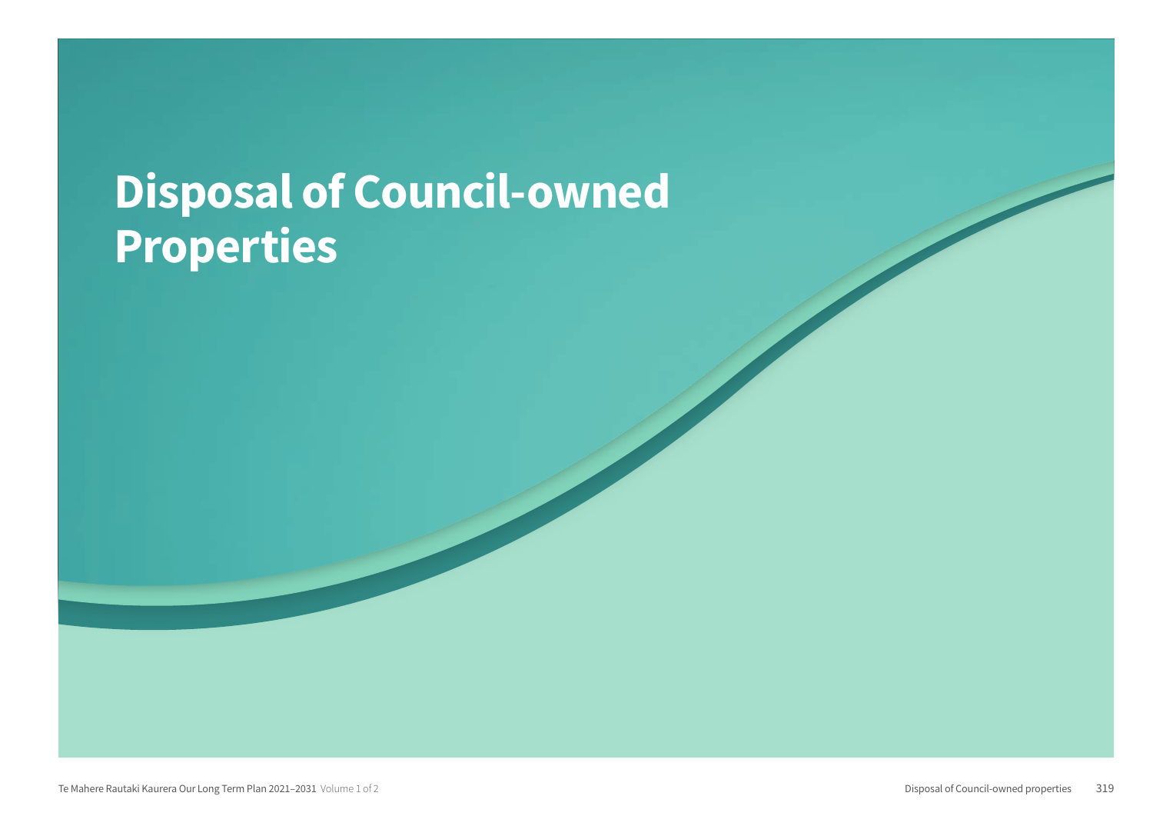## Disposal of Council-owned Properties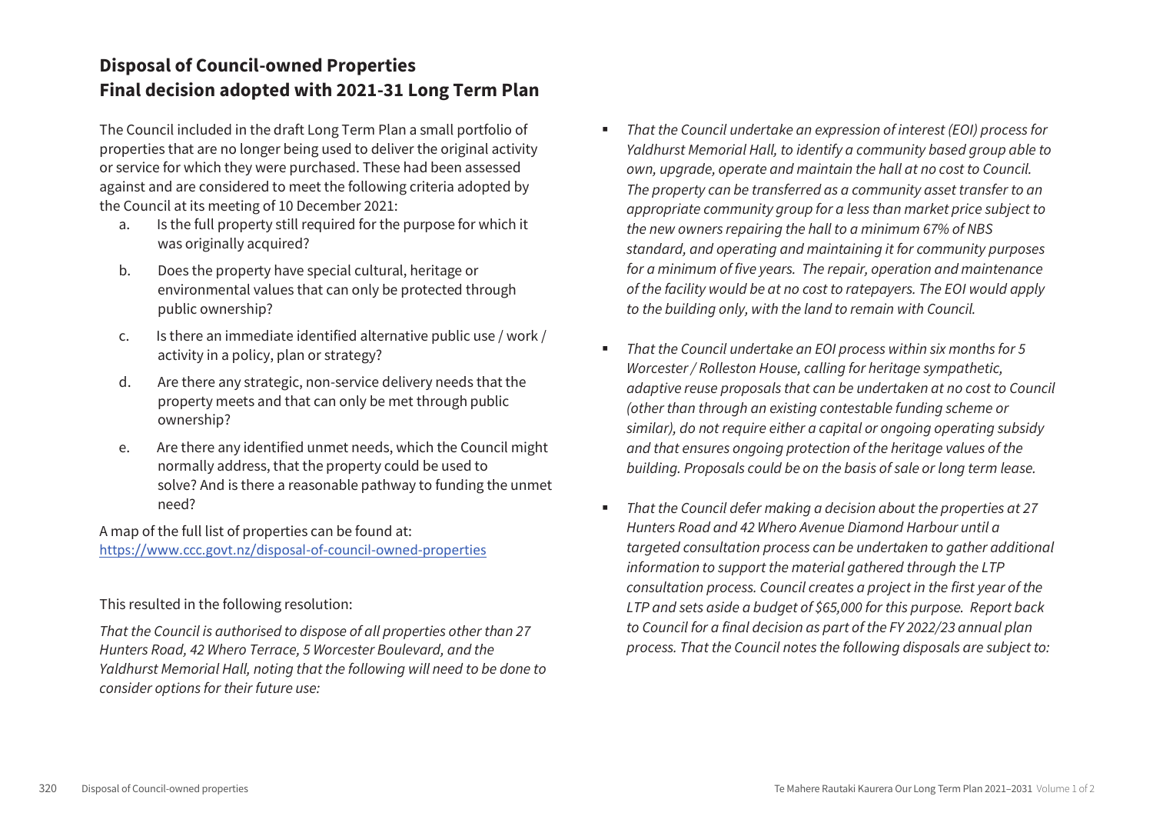## **Disposal of Council-owned Properties Final decision adopted with 2021-31 Long Term Plan**

The Council included in the draft Long Term Plan a small portfolio of properties that are no longer being used to deliver the original activity or service for which they were purchased. These had been assessed against and are considered to meet the following criteria adopted by the Council at its meeting of 10 December 2021:

- a. Is the full property still required for the purpose for which it was originally acquired?
- b. Does the property have special cultural, heritage or environmental values that can only be protected through public ownership?
- c. Is there an immediate identified alternative public use / work / activity in a policy, plan or strategy?
- d. Are there any strategic, non-service delivery needs that the property meets and that can only be met through public ownership?
- e. Are there any identified unmet needs, which the Council might normally address, that the property could be used to solve? And is there a reasonable pathway to funding the unmet need?

A map of the full list of properties can be found at: https://www.ccc.govt.nz/disposal-of-council-owned-properties

This resulted in the following resolution:

*That the Council is authorised to dispose of all properties other than 27 Hunters Road, 42 Whero Terrace, 5 Worcester Boulevard, and the Yaldhurst Memorial Hall, noting that the following will need to be done to consider options for their future use:*

- *That the Council undertake an expression of interest (EOI) process for Yaldhurst Memorial Hall, to identify a community based group able to own, upgrade, operate and maintain the hall at no cost to Council. The property can be transferred as a community asset transfer to an appropriate community group for a less than market price subject to the new owners repairing the hall to a minimum 67% of NBS standard, and operating and maintaining it for community purposes for a minimum of five years. The repair, operation and maintenance of the facility would be at no cost to ratepayers. The EOI would apply to the building only, with the land to remain with Council.*
- *That the Council undertake an EOI process within six months for 5 Worcester / Rolleston House, calling for heritage sympathetic, adaptive reuse proposals that can be undertaken at no cost to Council (other than through an existing contestable funding scheme or similar), do not require either a capital or ongoing operating subsidy and that ensures ongoing protection of the heritage values of the building. Proposals could be on the basis of sale or long term lease.*
- *That the Council defer making a decision about the properties at 27 Hunters Road and 42 Whero Avenue Diamond Harbour until a targeted consultation process can be undertaken to gather additional information to support the material gathered through the LTP consultation process. Council creates a project in the first year of the LTP and sets aside a budget of \$65,000 for this purpose. Report back to Council for a final decision as part of the FY 2022/23 annual plan process. That the Council notes the following disposals are subject to:*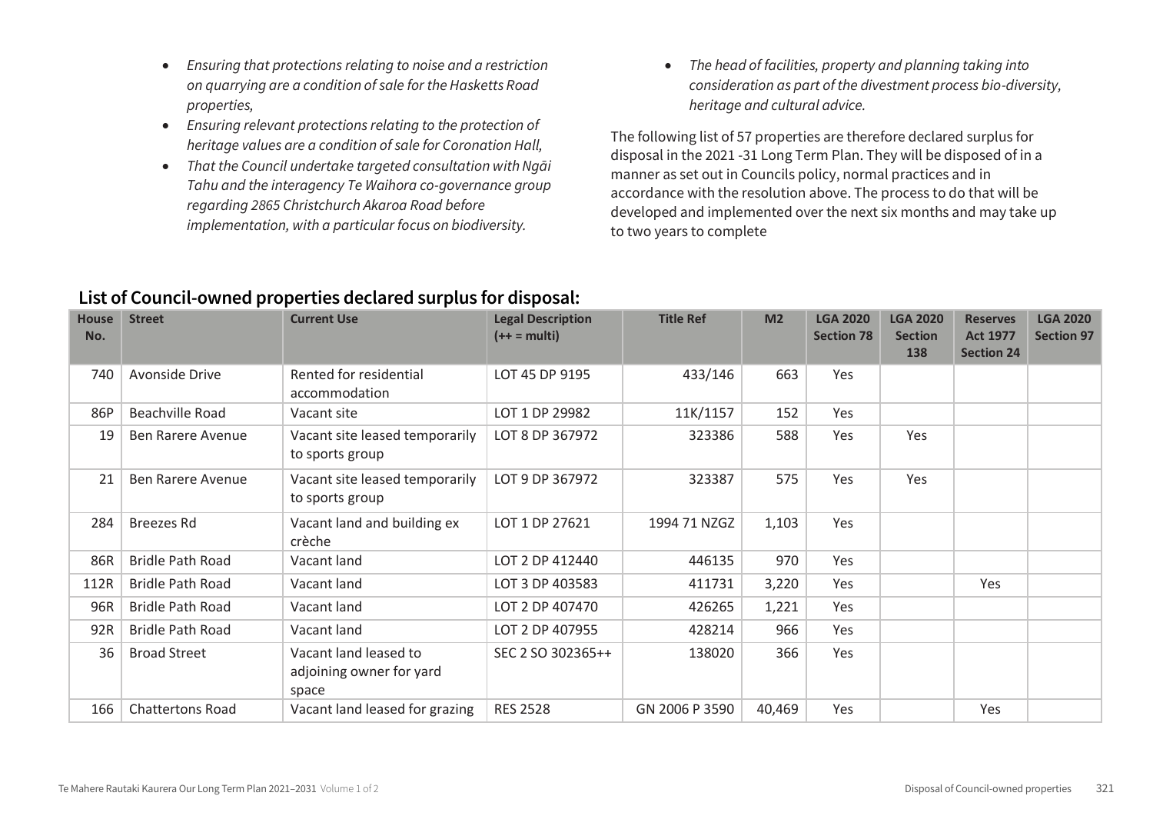- *Ensuring that protections relating to noise and a restriction on quarrying are a condition of sale for the Hasketts Road properties,*
- *Ensuring relevant protections relating to the protection of heritage values are a condition of sale for Coronation Hall,*
- *That the Council undertake targeted consultation with Ngāi Tahu and the interagency Te Waihora co-governance group regarding 2865 Christchurch Akaroa Road before implementation, with a particular focus on biodiversity.*

 *The head of facilities, property and planning taking into consideration as part of the divestment process bio-diversity, heritage and cultural advice.* 

The following list of 57 properties are therefore declared surplus for disposal in the 2021 -31 Long Term Plan. They will be disposed of in a manner as set out in Councils policy, normal practices and in accordance with the resolution above. The process to do that will be developed and implemented over the next six months and may take up to two years to complete

| <b>House</b><br>No. | <b>Street</b>            | <b>Current Use</b>                                         | <b>Legal Description</b><br>$(++ = multi)$ | <b>Title Ref</b> | M <sub>2</sub> | <b>LGA 2020</b><br><b>Section 78</b> | <b>LGA 2020</b><br><b>Section</b><br>138 | <b>Reserves</b><br><b>Act 1977</b><br><b>Section 24</b> | <b>LGA 2020</b><br><b>Section 97</b> |
|---------------------|--------------------------|------------------------------------------------------------|--------------------------------------------|------------------|----------------|--------------------------------------|------------------------------------------|---------------------------------------------------------|--------------------------------------|
| 740                 | Avonside Drive           | Rented for residential<br>accommodation                    | LOT 45 DP 9195                             | 433/146          | 663            | Yes                                  |                                          |                                                         |                                      |
| 86P                 | Beachville Road          | Vacant site                                                | LOT 1 DP 29982                             | 11K/1157         | 152            | Yes                                  |                                          |                                                         |                                      |
| 19                  | Ben Rarere Avenue        | Vacant site leased temporarily<br>to sports group          | LOT 8 DP 367972                            | 323386           | 588            | Yes                                  | Yes                                      |                                                         |                                      |
| 21                  | <b>Ben Rarere Avenue</b> | Vacant site leased temporarily<br>to sports group          | LOT 9 DP 367972                            | 323387           | 575            | Yes                                  | Yes                                      |                                                         |                                      |
| 284                 | <b>Breezes Rd</b>        | Vacant land and building ex<br>crèche                      | LOT 1 DP 27621                             | 1994 71 NZGZ     | 1,103          | Yes                                  |                                          |                                                         |                                      |
| 86R                 | <b>Bridle Path Road</b>  | Vacant land                                                | LOT 2 DP 412440                            | 446135           | 970            | Yes                                  |                                          |                                                         |                                      |
| 112R                | <b>Bridle Path Road</b>  | Vacant land                                                | LOT 3 DP 403583                            | 411731           | 3,220          | Yes                                  |                                          | Yes                                                     |                                      |
| 96R                 | <b>Bridle Path Road</b>  | Vacant land                                                | LOT 2 DP 407470                            | 426265           | 1,221          | Yes                                  |                                          |                                                         |                                      |
| 92R                 | <b>Bridle Path Road</b>  | Vacant land                                                | LOT 2 DP 407955                            | 428214           | 966            | Yes                                  |                                          |                                                         |                                      |
| 36                  | <b>Broad Street</b>      | Vacant land leased to<br>adjoining owner for yard<br>space | SEC 2 SO 302365++                          | 138020           | 366            | Yes                                  |                                          |                                                         |                                      |
| 166                 | <b>Chattertons Road</b>  | Vacant land leased for grazing                             | <b>RES 2528</b>                            | GN 2006 P 3590   | 40,469         | Yes                                  |                                          | Yes                                                     |                                      |

## **List of Council owned properties that could potentially be disposed of: List of Council-owned properties declared surplus for disposal:**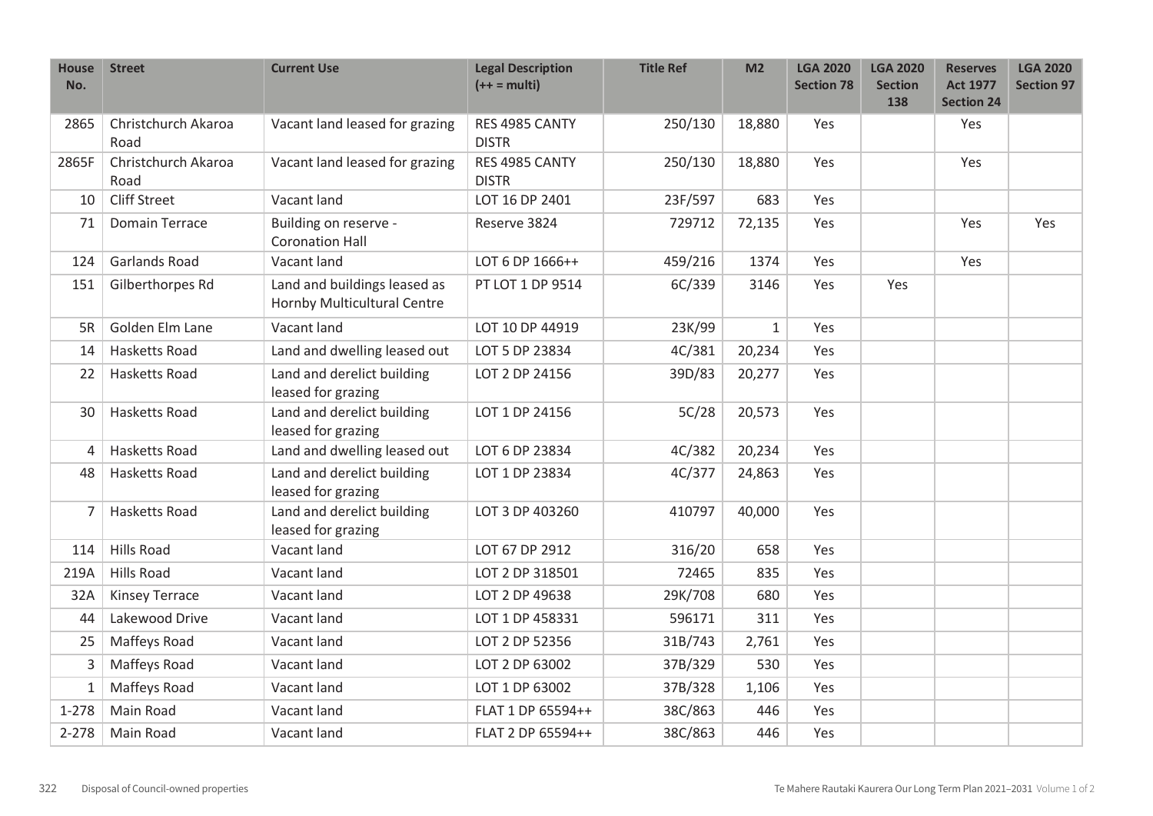| <b>House</b><br>No. | <b>Street</b>               | <b>Current Use</b>                                          | <b>Legal Description</b><br>$(++ = multi)$ | <b>Title Ref</b> | M <sub>2</sub> | <b>LGA 2020</b><br><b>Section 78</b> | <b>LGA 2020</b><br><b>Section</b><br>138 | <b>Reserves</b><br><b>Act 1977</b><br><b>Section 24</b> | <b>LGA 2020</b><br><b>Section 97</b> |
|---------------------|-----------------------------|-------------------------------------------------------------|--------------------------------------------|------------------|----------------|--------------------------------------|------------------------------------------|---------------------------------------------------------|--------------------------------------|
| 2865                | Christchurch Akaroa<br>Road | Vacant land leased for grazing                              | RES 4985 CANTY<br><b>DISTR</b>             | 250/130          | 18,880         | <b>Yes</b>                           |                                          | Yes                                                     |                                      |
| 2865F               | Christchurch Akaroa<br>Road | Vacant land leased for grazing                              | RES 4985 CANTY<br><b>DISTR</b>             | 250/130          | 18,880         | Yes                                  |                                          | Yes                                                     |                                      |
| 10                  | <b>Cliff Street</b>         | Vacant land                                                 | LOT 16 DP 2401                             | 23F/597          | 683            | Yes                                  |                                          |                                                         |                                      |
| 71                  | Domain Terrace              | Building on reserve -<br><b>Coronation Hall</b>             | Reserve 3824                               | 729712           | 72,135         | Yes                                  |                                          | Yes                                                     | Yes                                  |
| 124                 | <b>Garlands Road</b>        | Vacant land                                                 | LOT 6 DP 1666++                            | 459/216          | 1374           | Yes                                  |                                          | Yes                                                     |                                      |
| 151                 | Gilberthorpes Rd            | Land and buildings leased as<br>Hornby Multicultural Centre | PT LOT 1 DP 9514                           | 6C/339           | 3146           | Yes                                  | Yes                                      |                                                         |                                      |
| 5R                  | Golden Elm Lane             | Vacant land                                                 | LOT 10 DP 44919                            | 23K/99           | $1\,$          | Yes                                  |                                          |                                                         |                                      |
| 14                  | <b>Hasketts Road</b>        | Land and dwelling leased out                                | LOT 5 DP 23834                             | 4C/381           | 20,234         | Yes                                  |                                          |                                                         |                                      |
| 22                  | Hasketts Road               | Land and derelict building<br>leased for grazing            | LOT 2 DP 24156                             | 39D/83           | 20,277         | Yes                                  |                                          |                                                         |                                      |
| 30                  | <b>Hasketts Road</b>        | Land and derelict building<br>leased for grazing            | LOT 1 DP 24156                             | 5C/28            | 20,573         | Yes                                  |                                          |                                                         |                                      |
| 4                   | <b>Hasketts Road</b>        | Land and dwelling leased out                                | LOT 6 DP 23834                             | 4C/382           | 20,234         | Yes                                  |                                          |                                                         |                                      |
| 48                  | <b>Hasketts Road</b>        | Land and derelict building<br>leased for grazing            | LOT 1 DP 23834                             | 4C/377           | 24,863         | Yes                                  |                                          |                                                         |                                      |
| 7                   | <b>Hasketts Road</b>        | Land and derelict building<br>leased for grazing            | LOT 3 DP 403260                            | 410797           | 40,000         | Yes                                  |                                          |                                                         |                                      |
| 114                 | <b>Hills Road</b>           | Vacant land                                                 | LOT 67 DP 2912                             | 316/20           | 658            | Yes                                  |                                          |                                                         |                                      |
| 219A                | Hills Road                  | Vacant land                                                 | LOT 2 DP 318501                            | 72465            | 835            | Yes                                  |                                          |                                                         |                                      |
| 32A                 | <b>Kinsey Terrace</b>       | Vacant land                                                 | LOT 2 DP 49638                             | 29K/708          | 680            | Yes                                  |                                          |                                                         |                                      |
| 44                  | Lakewood Drive              | Vacant land                                                 | LOT 1 DP 458331                            | 596171           | 311            | Yes                                  |                                          |                                                         |                                      |
| 25                  | Maffeys Road                | Vacant land                                                 | LOT 2 DP 52356                             | 31B/743          | 2,761          | Yes                                  |                                          |                                                         |                                      |
| 3                   | Maffeys Road                | Vacant land                                                 | LOT 2 DP 63002                             | 37B/329          | 530            | Yes                                  |                                          |                                                         |                                      |
| 1                   | Maffeys Road                | Vacant land                                                 | LOT 1 DP 63002                             | 37B/328          | 1,106          | Yes                                  |                                          |                                                         |                                      |
| $1 - 278$           | Main Road                   | Vacant land                                                 | FLAT 1 DP 65594++                          | 38C/863          | 446            | Yes                                  |                                          |                                                         |                                      |
| $2 - 278$           | Main Road                   | Vacant land                                                 | FLAT 2 DP 65594++                          | 38C/863          | 446            | Yes                                  |                                          |                                                         |                                      |